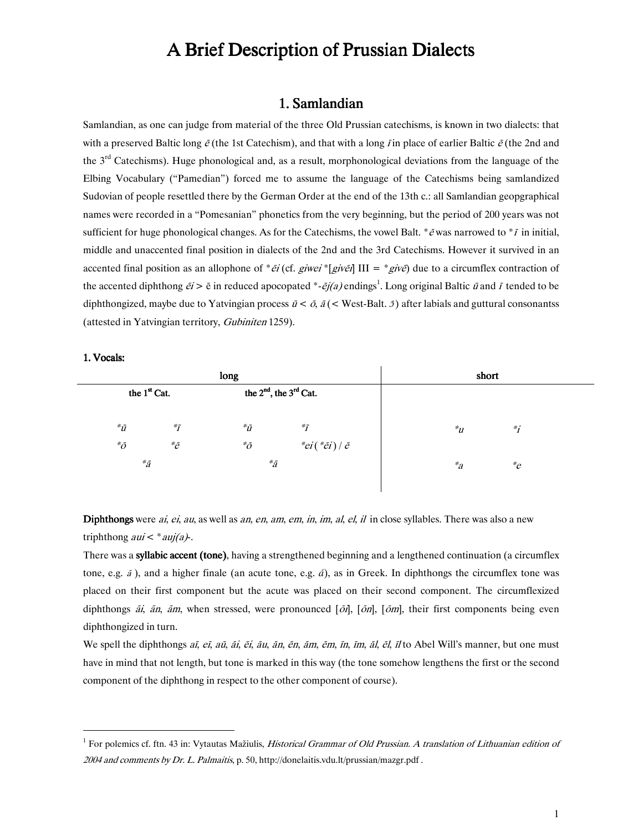# A Brief Description of Prussian Dialects

# 1. Samlandian

Samlandian, as one can judge from material of the three Old Prussian catechisms, is known in two dialects: that with a preserved Baltic long  $\bar{\varepsilon}$  (the 1st Catechism), and that with a long *i* in place of earlier Baltic  $\bar{\varepsilon}$  (the 2nd and the 3<sup>rd</sup> Catechisms). Huge phonological and, as a result, morphonological deviations from the language of the Elbing-Vocabulary ("Pamedian") forced me to assume the language of the Catechisms being samlandized Sudovian of people resettled there by the German Order at the end of the 13th c.: all Samlandian geopgraphical names were recorded in a "Pomesanian" phonetics from the very beginning, but the period of 200 years was not sufficient for huge phonological changes. As for the Catechisms, the vowel Balt.  $* \bar{e}$  was narrowed to  $* \bar{\imath}$  in initial, middle and unaccented final position in dialects of the 2nd and the 3rd Catechisms. However it survived in an accented final position as an allophone of \* $\tilde{e}i$  (cf. *giwei* \*[*giv* $\tilde{e}j$  III = \**giv* $\tilde{e}j$  due to a circumflex contraction of the accented diphthong  $\tilde{ei} > \bar{e}$  in reduced apocopated  $*$ - $\tilde{ej}(a)$  endings<sup>1</sup>. Long original Baltic  $\tilde{u}$  and  $\tilde{l}$  tended to be diphthongized, maybe due to Yatvingian process  $\bar{u} < \bar{o}$ ,  $\bar{a}$  (< West-Balt.  $\bar{z}$ ) after labials and guttural consonantss (attested in Yatvingian territory, Gubiniten 1259).

#### 1. Vocals:

 $\overline{a}$ 

| long            |                          |                 |                                  |                  | short      |  |
|-----------------|--------------------------|-----------------|----------------------------------|------------------|------------|--|
|                 | the 1 <sup>st</sup> Cat. |                 | the $2^{nd}$ , the $3^{rd}$ Cat. |                  |            |  |
|                 |                          |                 |                                  |                  |            |  |
| ${}^*\bar{u}$   | $\ddot{}^*\!\tilde{I}$   | ${}^*\bar{U}$   | $*_{\bar{I}}$                    | $\overline{u}^*$ | $\ddot{i}$ |  |
| ${}^*\!\bar{o}$ | ${}^*\!\bar{e}$          | ${}^*\!\bar{o}$ | $"ei("ei)/\bar{e}$               |                  |            |  |
| ${}^*\bar{a}$   |                          | ${}^*\tilde{a}$ |                                  | $a^*a$           | ${}^*\!e$  |  |
|                 |                          |                 |                                  |                  |            |  |
|                 |                          |                 |                                  |                  |            |  |

Diphthongs were *ai, ei, au*, as well as *an, en, am, em, in, im, al, el, il* in close syllables. There was also a new triphthong  $aui < *auj(a)$ .

There was a **syllabic accent (tone)**, having a strengthened beginning and a lengthened continuation (a circumflex tone, e.g.  $\tilde{a}$ ), and a higher finale (an acute tone, e.g.  $\tilde{a}$ ), as in Greek. In diphthongs the circumflex tone was placed on their first component but the acute was placed on their second component. The circumflexized diphthongs  $\tilde{a}i$ ,  $\tilde{a}m$ ,  $\tilde{a}m$ , when stressed, were pronounced  $[\tilde{o}i]$ ,  $[\tilde{o}m]$ ,  $[\tilde{o}m]$ , their first components being even diphthongized in turn.

We spell the diphthongs *aī, eī, aū, āi, ēi, āu, ān, ēn, ām, ēm, īn, īm, āl, ēl, īl* to Abel Will's manner, but one must have in mind that not length, but tone is marked in this way (the tone somehow lengthens the first or the second component of the diphthong in respect to the other component of course).

<sup>&</sup>lt;sup>1</sup> For polemics cf. ftn. 43 in: Vytautas Mažiulis, *Historical Grammar of Old Prussian. A translation of Lithuanian edition of* 2004 and comments by Dr. L. Palmaitis, p. 50, http://donelaitis.vdu.lt/prussian/mazgr.pdf.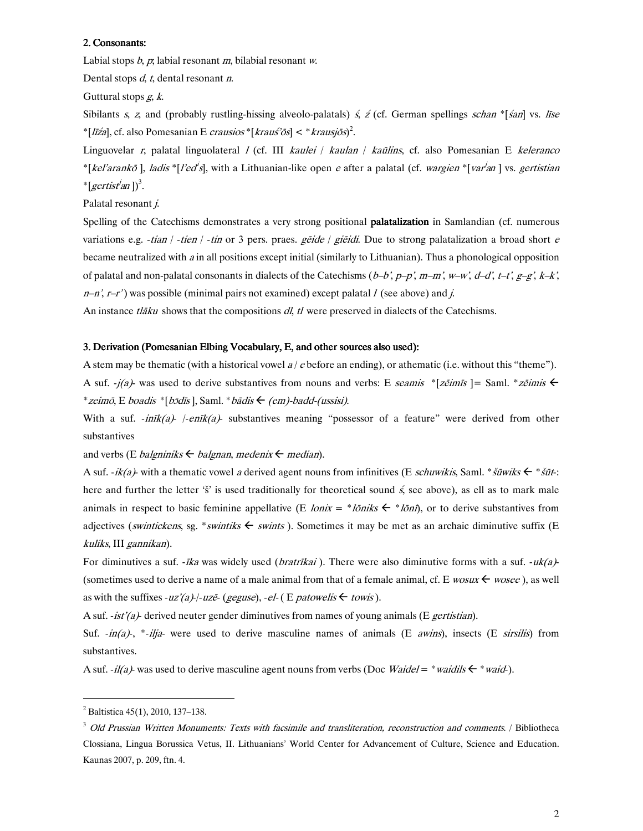#### 2. Consonants:

Labial stops  $b, p$ , labial resonant m, bilabial resonant w.

Dental stops  $d$ ,  $t$ , dental resonant  $n$ .

Guttural stops g, k.

Sibilants s, z, and (probably rustling-hissing alveolo-palatals) s, z (cf. German spellings schan \*[san] vs. līse \*[*līźa*], cf. also Pomesanian E *crausios* \*[*krauś'ōs*] < \**krausjōs*)<sup>2</sup>.

Linguovelar *r*, palatal linguolateral *I* (cf. III *kaulei / kaulan / kaūlins*, cf. also Pomesanian E *keleranco* \*[kel'arankō], ladis \*[l'ed<sup>i</sup>s], with a Lithuanian-like open e after a palatal (cf. wargien \*[var<sup>j</sup>an] vs. gertistian \* [gertist<sup>i</sup>an])<sup>3</sup>.

Palatal resonant *j*.

Spelling of the Catechisms demonstrates a very strong positional **palatalization** in Samlandian (cf. numerous variations e.g. -tian / -tien / -tin or 3 pers. praes. getde / gietdi. Due to strong palatalization a broad short e became neutralized with a in all positions except initial (similarly to Lithuanian). Thus a phonological opposition of palatal and non-palatal consonants in dialects of the Catechisms  $(b-b', p-p', m-m', w-w', d-d', t-t', g-g', k-k'$ ,  $n-n'$ ,  $r-r'$ ) was possible (minimal pairs not examined) except palatal *I* (see above) and *j*.

An instance *tlāku* shows that the compositions *dl, tl* were preserved in dialects of the Catechisms.

#### 3. Derivation (Pomesanian Elbing Vocabulary, E, and other sources also used):

A stem may be thematic (with a historical vowel  $a/c$  before an ending), or athematic (i.e. without this "theme"). A suf.  $-j(a)$  was used to derive substantives from nouns and verbs: E seamis \*[ze imis ] = Saml. \* ze imis  $\leftarrow$ \* zeimō, E boadis \* [bɔ̄dīs], Saml. \* bādis  $\leftarrow$  (em)-badd-(ussisi).

With a suf.  $\text{-}init(a)$  /-en $\text{rk}(a)$  substantives meaning "possessor of a feature" were derived from other substantives

and verbs (E *balgniniks*  $\leftarrow$  *balgnan, medenix*  $\leftarrow$  *median*).

A suf. -ik(a)- with a thematic vowel a derived agent nouns from infinitives (E schuwikis, Saml. \* šūwiks  $\leftarrow$  \* šūt: here and further the letter 's' is used traditionally for theoretical sound  $\zeta$ , see above), as ell as to mark male animals in respect to basic feminine appellative (E *lonix* = \**loniks*  $\leftarrow$  \**loni*), or to derive substantives from adjectives (swintickens, sg. \* swintiks  $\leftarrow$  swints). Sometimes it may be met as an archaic diminutive suffix (E kuliks, III gannikan).

For diminutives a suf. *-īka* was widely used (*bratrīkai*). There were also diminutive forms with a suf. *-uk(a)-*(sometimes used to derive a name of a male animal from that of a female animal, cf. E wosux  $\leftarrow$  wosee), as well as with the suffixes -uz'(a)-/-uzē- (geguse), -el- (E patowelis  $\leftarrow$  towis).

A suf. -ist'(a)- derived neuter gender diminutives from names of young animals (E gertistian).

Suf.  $-in(a)$ , \*-ilja- were used to derive masculine names of animals (E *awins*), insects (E *sirsilis*) from substantives.

A suf. -il(a)- was used to derive masculine agent nouns from verbs (Doc Waidel = \*waidils  $\leftarrow$  \*waid-).

 $\overline{a}$ 

 $2^2$  Baltistica 45(1), 2010, 137–138.

<sup>&</sup>lt;sup>3</sup> Old Prussian Written Monuments: Texts with facsimile and transliteration, reconstruction and comments. / Bibliotheca Clossiana, Lingua Borussica Vetus, II. Lithuanians' World Center for Advancement of Culture, Science and Education. Kaunas 2007, p. 209, ftn. 4.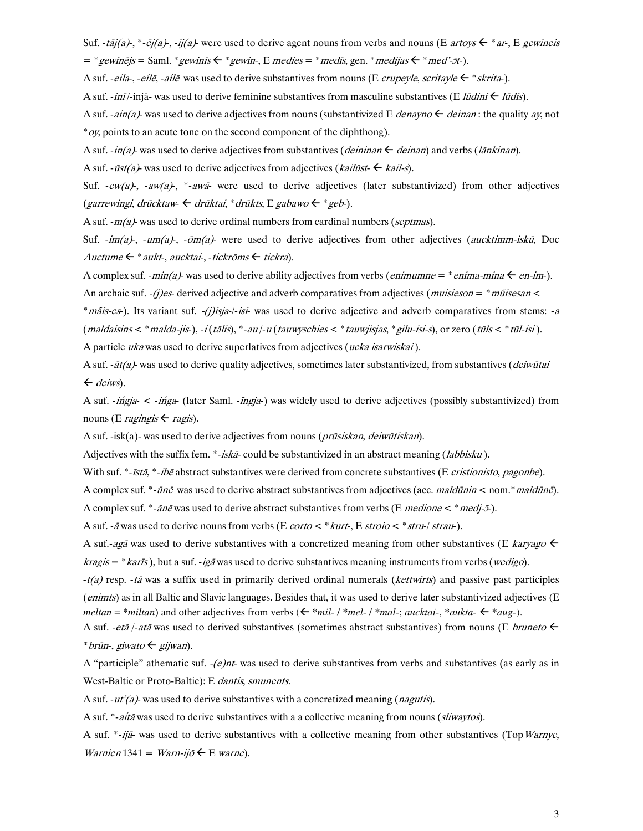Suf. -tāj(a)-, \*-ēj(a)-, -ij(a)- were used to derive agent nouns from verbs and nouns (E artoys  $\epsilon$  \* ar-, E gewineis  $=$  \* gewines is  $=$  Saml. \* gewines  $\leftarrow$  \* gewin-, E medies  $=$  \* medis, gen. \* medias  $\leftarrow$  \* med'-5t-).

A suf. -*eíla-, -eílē, -aílē* was used to derive substantives from nouns (E *crupeyle, scritayle*  $\leftarrow$  \* *skrita*-).

A suf. -ini/-inja- was used to derive feminine substantives from masculine substantives (E *lūdini*  $\leftarrow$  *lūdis*).

A suf. -ain(a)- was used to derive adjectives from nouns (substantivized E *denayno*  $\leftarrow$  *deinan*: the quality ay, not  $*$ *oy*, points to an acute tone on the second component of the diphthong).

A suf. -in(a)- was used to derive adjectives from substantives (*deininan*  $\leftarrow$  *deinan*) and verbs (*lankinan*).

A suf. -  $i$ st(a) was used to derive adjectives from adjectives (*kailust*  $\leftarrow$  *kail-s*).

Suf.  $-ew(a)$ ,  $-w(a)$ ,  $*-aw(a)$ ,  $*-awa$  were used to derive adjectives (later substantivized) from other adjectives (garrewingi, drūcktaw  $\leftarrow$  drūktai, \* drūkts, E gabawo  $\leftarrow$  \* geb-).

A suf.  $-m(a)$  was used to derive ordinal numbers from cardinal numbers (septimas).

Suf.  $\frac{im(a)}{m}$ ,  $\frac{im(a)}{m}$ ,  $\frac{im(a)}{m}$  were used to derive adjectives from other adjectives (*aucktimm-iskū*, Doc Auctume  $\leftarrow^*$  aukt-, aucktai-, -tickrōms  $\leftarrow$  tickra).

A complex suf. -*min(a)*- was used to derive ability adjectives from verbs (*enimumne* = \**enima-mina*  $\leftarrow$  *en-im*-). An archaic suf. -(j)es- derived adjective and adverb comparatives from adjectives (*muisieson* =  $*$ *mũisesan* < \**mais-es*). Its variant suf. -*(j)isja-/-isi*- was used to derive adjective and adverb comparatives from stems: -a (maldaisins < \* malda-jis-), -i(tālis), \*-au/-u(tauwyschies < \* tauwjisjas, \* gilu-isi-s), or zero (tūls < \* tūl-isi).

A particle ukawas used to derive superlatives from adjectives (ucka isarwiskai).

A suf. - $\bar{a}t/a$  was used to derive quality adjectives, sometimes later substantivized, from substantives (*deiwūtai*  $\leftarrow$  deiws).

A suf. -ingja- < -inga- (later Saml. -ingja-) was widely used to derive adjectives (possibly substantivized) from nouns (E *ragingis*  $\leftarrow$  *ragis*).

A suf. -isk(a)- was used to derive adjectives from nouns (*prūsiskan*, *deiwūtiskan*).

Adjectives with the suffix fem. \*-iska could be substantivized in an abstract meaning (labbisku).

With suf. \*-*ista*, \*-*ibe* abstract substantives were derived from concrete substantives (E cristionisto, pagonbe).

A complex suf. \*-*ūnē* was used to derive abstract substantives from adjectives (acc. *maldūnin* < nom.\**maldūnē*).

A complex suf. \*- $\bar{a}n\bar{e}$  was used to derive abstract substantives from verbs (E *medione* < \* *medj-5*).

A suf. -  $\bar{a}$  was used to derive nouns from verbs (E corto  $\lt^*$  kurt-, E stroio  $\lt^*$  stru-/ strau-).

A suf.-aga was used to derive substantives with a concretized meaning from other substantives (E karvago  $\leftarrow$ *kragis* = \**karis*), but a suf. -*iga* was used to derive substantives meaning instruments from verbs (*wedigo*).

 $-t(a)$  resp.  $-t\bar{a}$  was a suffix used in primarily derived ordinal numerals (kettwirts) and passive past participles (enimts) as in all Baltic and Slavic languages. Besides that, it was used to derive later substantivized adjectives (E meltan = \*miltan) and other adjectives from verbs ( $\epsilon$  \*mil-/\*mel-/\*mal-; aucktai-, \*aukta- $\epsilon$  \*aug-).

A suf. -*etã* /-atã was used to derived substantives (sometimes abstract substantives) from nouns (E *bruneto*  $\leftarrow$ \* brūn-, giwato  $\leftarrow$  gijwan).

A "participle" athematic suf.  $-(e)$ nt-was used to derive substantives from verbs and substantives (as early as in West-Baltic or Proto-Baltic): E dantis, smunents.

A suf.  $-ut'(a)$  was used to derive substantives with a concretized meaning (*nagutis*).

A suf. \*-*aitā* was used to derive substantives with a a collective meaning from nouns (sliwaytos).

A suf. \*-ija- was used to derive substantives with a collective meaning from other substantives (Top Warnye, Warnien 1341 = Warn-ij $\delta \in E$  warne).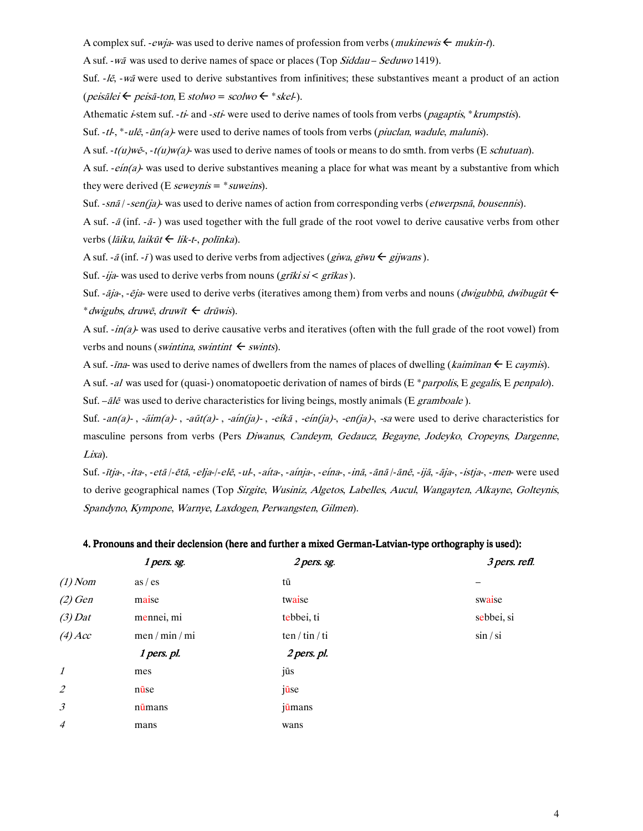A complex suf. - *ewja*- was used to derive names of profession from verbs (*mukinewis*  $\leftarrow$  *mukin-t*).

A suf. - wā was used to derive names of space or places (Top Siddau - Seduwo 1419).

Suf.  $-l\bar{e}$ ,  $-w\bar{a}$  were used to derive substantives from infinitives; these substantives meant a product of an action  $(\textit{peisälei} \leftarrow \textit{peisä-ton}, E \textit{stolwo} = \textit{scolwo} \leftarrow \textit{*skel}).$ 

Athematic *i*-stem suf. -ti- and -sti- were used to derive names of tools from verbs (*pagaptis*, \**krumpstis*).

Suf. -tl-, \*-ulē, -ūn(a)- were used to derive names of tools from verbs (*piuclan, wadule, malunis*).

A suf.  $-t(u)w\bar{e}$ ,  $-t(u)w(a)$  was used to derive names of tools or means to do smth. from verbs (E *schutuan*).

A suf. -*eín(a)*- was used to derive substantives meaning a place for what was meant by a substantive from which they were derived (E seweynis =  $*$  suweins).

Suf. - snā/ - sen(ja)- was used to derive names of action from corresponding verbs (etwerpsnā, bousennis).

A suf. - $\bar{a}$  (inf. - $\bar{a}$ -) was used together with the full grade of the root vowel to derive causative verbs from other verbs (*lāiku, laikūt ← lik-t-, polīnka*).

A suf. -  $\bar{a}$  (inf. -  $\bar{I}$ ) was used to derive verbs from adjectives (*giwa*, *gīwu*  $\leftarrow$  *gijwans*).

Suf. - ija- was used to derive verbs from nouns ( $grīki si < grīkas$ ).

Suf. -  $\vec{a}$ ja-, -  $\vec{e}$ ja- were used to derive verbs (iteratives among them) from verbs and nouns (*dwigubbū*, *dwibugūt*  $\leftarrow$ \* dwigubs, druwē, druwīt  $\leftarrow$  drūwis).

A suf.  $-in(a)$  was used to derive causative verbs and iteratives (often with the full grade of the root vowel) from verbs and nouns (*swintina*, *swintint*  $\leftarrow$  *swints*).

A suf. - *ina*- was used to derive names of dwellers from the names of places of dwelling (*kaimīnan*  $\leftarrow$  E *caymis*).

A suf. -al was used for (quasi-) onomatopoetic derivation of names of birds (E \* *parpolis*, E gegalis, E penpalo). Suf.  $-\bar{a}l\bar{e}$  was used to derive characteristics for living beings, mostly animals (E gramboale).

Suf. -an(a)-, -āim(a)-, -aūt(a)-, -aín(ja)-, -eíkā, -eín(ja)-, -en(ja)-, -sa were used to derive characteristics for masculine persons from verbs (Pers Diwanus, Candeym, Gedaucz, Begayne, Jodeyko, Cropeyns, Dargenne, Lixa).

Suf. -*ītja-, -ita-, -etā |-ētā, -elja-|-elē, -ul-, -aíta-, -aínja-, -eína-, -inā, -ānā |-ānē, -ijā, -āja-, -istja-, -men- were used* to derive geographical names (Top Sirgite, Wusiniz, Algetos, Labelles, Aucul, Wangayten, Alkayne, Golteynis, Spandyno, Kympone, Warnye, Laxdogen, Perwangsten, Gilmen).

#### 4. Pronouns and their declension (here and further a mixed German-Latvian-type orthography is used):

|                | 1 pers. sg.    | 2 pers. sg.    | 3 pers. refl. |
|----------------|----------------|----------------|---------------|
| $(1)$ Nom      | as / es        | tū             |               |
| $(2)$ Gen      | maise          | twaise         | swaise        |
| $(3)$ Dat      | mennei, mi     | tebbei, ti     | sebbei, si    |
| $(4)$ Acc      | men / min / mi | ten / tin / ti | $\sin / \sin$ |
|                | 1 pers. pl.    | 2 pers. pl.    |               |
| $\mathcal{I}$  | mes            | jūs            |               |
| $\overline{2}$ | nūse           | jūse           |               |
| $\mathfrak{Z}$ | nūmans         | jūmans         |               |
| $\overline{4}$ | mans           | wans           |               |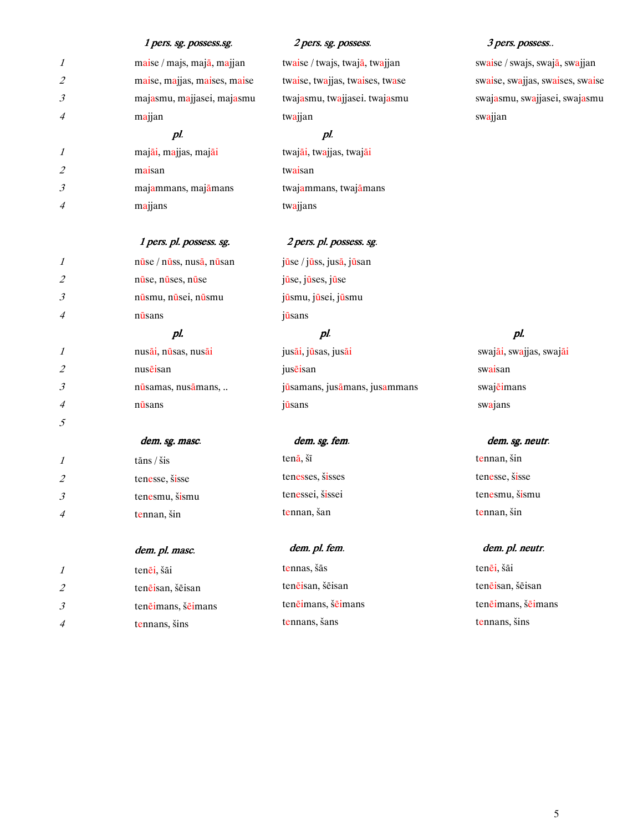|                             | 1 pers. sg. possess.sg.                    | 2 pers. sg. possess.            | 3 pers. possess                  |
|-----------------------------|--------------------------------------------|---------------------------------|----------------------------------|
| 1                           | maise / majs, majā, majjan                 | twaise / twajs, twajā, twajjan  | swaise / swajs, swajā, swajjan   |
| $\mathcal{Z}_{\mathcal{C}}$ | maise, majjas, maises, maise               | twaise, twajjas, twaises, twase | swaise, swajjas, swaises, swaise |
| 3                           | majasmu, majjasei, majasmu                 | twajasmu, twajjasei. twajasmu   | swajasmu, swajjasei, swajasmu    |
| 4                           | majjan                                     | twajjan                         | swajjan                          |
|                             | pl.                                        | pl.                             |                                  |
| 1                           | majāi, majjas, majāi                       | twajāi, twajjas, twajāi         |                                  |
| $\mathcal{Z}_{\mathcal{C}}$ | maisan                                     | twaisan                         |                                  |
| 3                           | majammans, majāmans                        | twajammans, twajamans           |                                  |
| 4                           | majjans                                    | twajjans                        |                                  |
|                             | 1 pers. pl. possess. sg.                   | 2 pers. pl. possess. sg.        |                                  |
| 1                           | $n\bar{u}$ se / $n\bar{u}$ ss, nusā, nūsan | jūse / jūss, jusā, jūsan        |                                  |
| $\mathcal{Z}_{\mathcal{C}}$ | nūse, nūses, nūse                          | jūse, jūses, jūse               |                                  |
| 3                           | nūsmu, nūsei, nūsmu                        | jūsmu, jūsei, jūsmu             |                                  |
| 4                           | nūsans                                     | jūsans                          |                                  |
|                             | pl.                                        | pl.                             | pl.                              |
| 1                           | nusāi, nūsas, nusāi                        | jusāi, jūsas, jusāi             | swajāi, swajjas, swajāi          |
| $\mathcal{Z}_{\mathcal{C}}$ | nusēisan                                   | juseisan                        | swaisan                          |
| 3                           | nūsamas, nusāmans,                         | jūsamans, jusāmans, jusammans   | swajeimans                       |
| 4                           | nūsans                                     | jūsans                          | swajans                          |
| 5                           |                                            |                                 |                                  |
|                             | dem. sg. masc.                             | dem. sg. fem.                   | dem. sg. neutr.                  |
| 1                           | tāns / šis                                 | tenā, šī                        | tennan, šin                      |
| $\mathcal{Z}_{\mathcal{C}}$ | tenesse, šisse                             | tenesses, šisses                | tenesse, šisse                   |
| 3                           | tenesmu, šismu                             | tenessei, šissei                | tenesmu, šismu                   |
| 4                           | tennan, šin                                | tennan, šan                     | tennan, šin                      |
|                             | dem. pl. masc.                             | dem. pl. fem.                   | dem. pl. neutr.                  |
| 1                           | tenēi, šāi                                 | tennas, šās                     | tenēi, šāi                       |
| $\mathcal{Z}_{\mathcal{C}}$ | tenēisan, šēisan                           | tenēisan, šēisan                | tenēisan, šēisan                 |
|                             |                                            |                                 |                                  |

ten<del>ē</del>imans, š<del>ē</del>imans

tennans, šans

3 tenēimans, šēimans

4 tennans, šins

ten<del>ē</del>imans, š<del>ē</del>imans

tennans, šins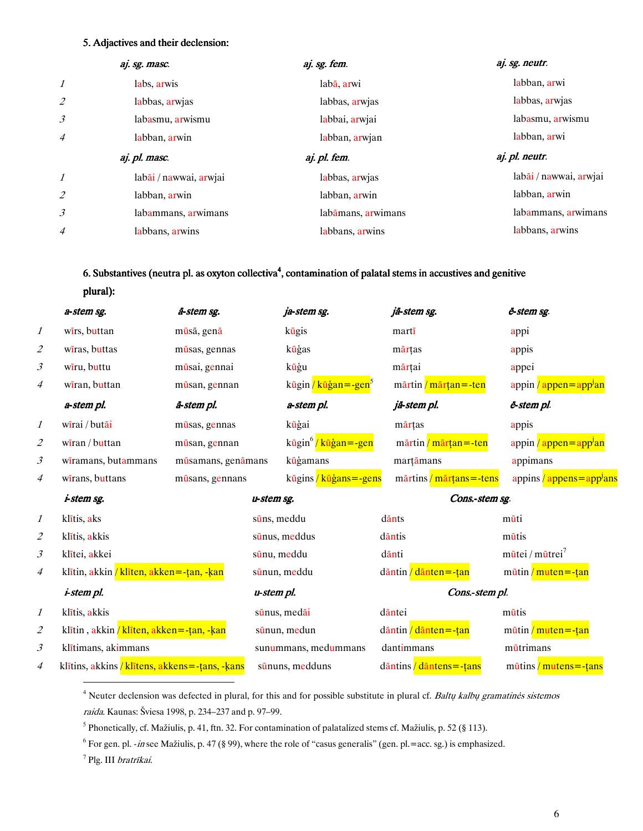#### 5. Adjactives and their declension:

|                           | aj. sg. masc.          | aj. sg. fem.       | aj. sg. neutr.         |
|---------------------------|------------------------|--------------------|------------------------|
| $\boldsymbol{\mathit{1}}$ | labs, arwis            | labā, arwi         | labban, arwi           |
| $\overline{2}$            | labbas, arwias         | labbas, arwjas     | labbas, arwias         |
| $\mathfrak{Z}$            | labasmu, arwismu       | labbai, arwjai     | labasmu, arwismu       |
| $\overline{4}$            | labban, arwin          | labban, arwjan     | labban, arwi           |
|                           |                        |                    |                        |
|                           | aj. pl. masc.          | aj. pl. fem.       | aj. pl. neutr.         |
| $\boldsymbol{\mathit{1}}$ | labāi / nawwai, arwjai | labbas, arwjas     | labāi / nawwai, arwjai |
| $\overline{2}$            | labban, arwin          | labban, arwin      | labban, arwin          |
| $\mathfrak{Z}$            | labammans, arwimans    | labāmans, arwimans | labammans, arwimans    |

### 6. Substantives (neutra pl. as oxyton collectiva<sup>4</sup>, contamination of palatal stems in accustives and genitive

plural):

|                           | a-stem sg.                                         | ā-stem sg.         |             | ja-stem sg.                        |            | jā-stem sg.                                 | ë-stem sg.                                     |
|---------------------------|----------------------------------------------------|--------------------|-------------|------------------------------------|------------|---------------------------------------------|------------------------------------------------|
| $\boldsymbol{\mathit{1}}$ | wirs, buttan                                       | mūsā, genā         |             | kūgis                              | marti      |                                             | appi                                           |
| 2                         | wiras, buttas                                      | mūsas, gennas      |             | kūģas                              | mārțas     |                                             | appis                                          |
| 3                         | wīru, buttu                                        | mūsai, gennai      |             | kūģu                               | mārțai     |                                             | appei                                          |
| 4                         | wiran, buttan                                      | mūsan, gennan      |             | kūgin / kūģan = - gen <sup>5</sup> |            | mārtin / mārțan = - ten                     | appin / appen=app <sup>j</sup> an              |
|                           | a-stem pl.                                         | ā-stem pl.         |             | a-stem pl.                         |            | jā-stem pl.                                 | ē-stem pl.                                     |
| $\mathcal{I}$             | wīrai / butāi                                      | mūsas, gennas      |             | kūģai                              | mārțas     |                                             | appis                                          |
| $\overline{\mathcal{L}}$  | $\frac{1}{\sqrt{2}}$ wiran / buttan                | mūsan, gennan      |             | kūgin <sup>6</sup> /kūģan=-gen     |            | mārtin / mārțan = - ten                     | appin / appen=app <sup>j</sup> an              |
| 3                         | wiramans, butammans                                | mūsamans, genāmans |             | kūģamans                           |            | marțāmans                                   | appimans                                       |
| 4                         | wirans, buttans                                    | mūsans, gennans    |             | kūgins / kūģans = - gens           |            | $m\bar{a}$ rtins / $m\bar{a}$ rtans = -tens | appins / appens=app <sup>J</sup> ans           |
|                           | <i>i-stem sg.</i>                                  |                    | u-stem sg.  |                                    |            | Cons.-stem sg.                              |                                                |
| 1                         | klītis, aks                                        |                    | sūns, meddu |                                    | dānts      |                                             | mūti                                           |
| $\overline{\mathcal{L}}$  | klītis, akkis                                      |                    |             | sūnus, meddus                      | dantis     |                                             | mūtis                                          |
| $\mathfrak{Z}$            | klītei, akkei                                      |                    | sūnu, meddu |                                    | dānti      |                                             | $m\bar{u}$ tei / m $\bar{u}$ trei <sup>7</sup> |
| 4                         | klītin, akkin / klīten, akken = - țan, - ķan       |                    |             | sūnun, meddu                       |            | dāntin / dānten = - țan                     | $m\bar{u}$ tin / muten = -tan                  |
|                           | <i>i-stem pl.</i>                                  |                    | u-stem pl.  |                                    |            | Cons.-stem pl.                              |                                                |
| 1                         | klītis, akkis                                      |                    |             | sūnus, medāi                       | däntei     |                                             | mūtis                                          |
| $\overline{\mathcal{L}}$  | klītin, akkin / klīten, akken = - tan, - kan       |                    |             | sūnun, medun                       |            | $d$ āntin / $d$ ānten = -țan                | $m\bar{u}$ tin / muten = -tan                  |
| 3                         | klītimans, akimmans                                |                    |             | sunummans, medummans               | dantimmans |                                             | mūtrimans                                      |
| 4                         | klītins, akkins / klītens, akkens = - tans, - kans |                    |             | sūnuns, medduns                    |            | dāntins / dāntens = - țans                  | $m\bar{u}$ tins / mutens = -țans               |
|                           |                                                    |                    |             |                                    |            |                                             |                                                |

<sup>4</sup> Neuter declension was defected in plural, for this and for possible substitute in plural cf. *Baltų kalbų gramatinės sistemos raida*. Kaunas: Šviesa 1998, p. 234–237 and p. 97–99.

<sup>5</sup> Phonetically, cf. Mažiulis, p. 41, ftn. 32. For contamination of palatalized stems cf. Mažiulis, p. 52 (§ 113).

<sup>6</sup> For gen. pl. -in see Mažiulis, p. 47 (§ 99), where the role of "casus generalis" (gen. pl.=acc. sg.) is emphasized.

<sup>7</sup> Plg. III bratrīkai.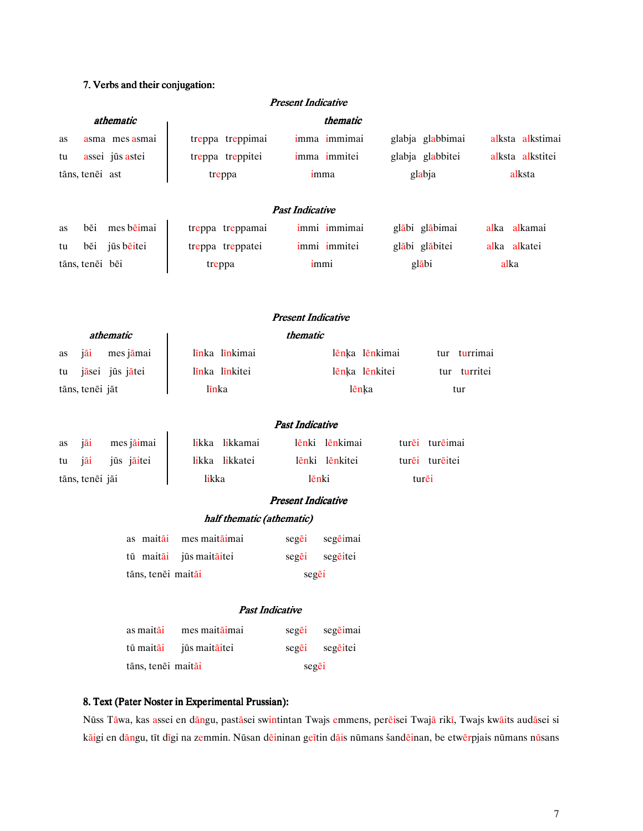### 7. Verbs and their conjugation:

|    |                 |                    |                  | <b>Present Indicative</b> |                |                  |              |                  |
|----|-----------------|--------------------|------------------|---------------------------|----------------|------------------|--------------|------------------|
|    |                 | athematic          |                  |                           | thematic       |                  |              |                  |
| as |                 | asma mes asmai     | treppa treppimai |                           | imma immimai   | glabja glabbimai |              | alksta alkstimai |
| tu |                 | assei jūs astei    | treppa treppitei |                           | imma immitei   | glabja glabbitei |              | alksta alkstitei |
|    | tāns, tenēi ast |                    | treppa           |                           | imma           | glabja           |              | alksta           |
|    |                 |                    |                  |                           |                |                  |              |                  |
|    |                 |                    |                  | <b>Past Indicative</b>    |                |                  |              |                  |
| as | bēi             | mes bēimai         | treppa treppamai |                           | immi immimai   | glābi glābimai   |              | alka alkamai     |
| tu | bēi             | jūs bēitei         | treppa treppatei |                           | immi immitei   | glābi glābitei   | alka alkatei |                  |
|    | tāns, tenēi bēi |                    | treppa           | immi                      |                | glābi            | alka         |                  |
|    |                 |                    |                  |                           |                |                  |              |                  |
|    |                 |                    |                  | <b>Present Indicative</b> |                |                  |              |                  |
|    |                 | athematic          |                  | thematic                  |                |                  |              |                  |
| as | jāi             | mes jāmai          | līnka līnkimai   |                           | lēnķa lēnkimai | tur              | turrimai     |                  |
| tu |                 | jāsei jūs jātei    | līnka līnkitei   |                           | lēnķa lēnkitei | tur turritei     |              |                  |
|    | tāns, tenēi jāt |                    | līnka            |                           | lēnka          | tur              |              |                  |
|    |                 |                    |                  |                           |                |                  |              |                  |
|    |                 |                    |                  | <b>Past Indicative</b>    |                |                  |              |                  |
| as | jāi             | mes jāimai         | likka likkamai   |                           | lēnki lēnkimai | turēi turēimai   |              |                  |
| tu | jāi             | jūs jāitei         | likka likkatei   |                           | lēnki lēnkitei | turei tureitei   |              |                  |
|    | tāns, tenēi jāi |                    | likka            | lēnki                     |                | turēi            |              |                  |
|    |                 |                    |                  | <b>Present Indicative</b> |                |                  |              |                  |
|    |                 |                    |                  | half thematic (athematic) |                |                  |              |                  |
|    |                 | as maitāi          | mes maitāimai    | segei                     | segēimai       |                  |              |                  |
|    |                 | tū maitāi          | jūs maitāitei    | segēi                     | segēitei       |                  |              |                  |
|    |                 | tāns, tenēi maitāi |                  | segēi                     |                |                  |              |                  |
|    |                 |                    |                  | <b>Past Indicative</b>    |                |                  |              |                  |
|    |                 |                    |                  |                           |                |                  |              |                  |
|    |                 | as maitāi          | mes maitāimai    | segēi                     | segēimai       |                  |              |                  |
|    |                 | tū maitāi          | jūs maitāitei    | segēi                     | segēitei       |                  |              |                  |
|    |                 | tāns, tenēi maitāi |                  | segēi                     |                |                  |              |                  |

### 8. Text (Pater Noster in Experimental Prussian):

Nūss Tāwa, kas assei en dāngu, pastāsei swintintan Twajs emmens, perēisei Twajā rikī, Twajs kwāits audāsei si kāigi en dāngu, tīt dīgi na zemmin. Nūsan dēininan geītin dāis nūmans šandēinan, be etwērpjais nūmans nūsans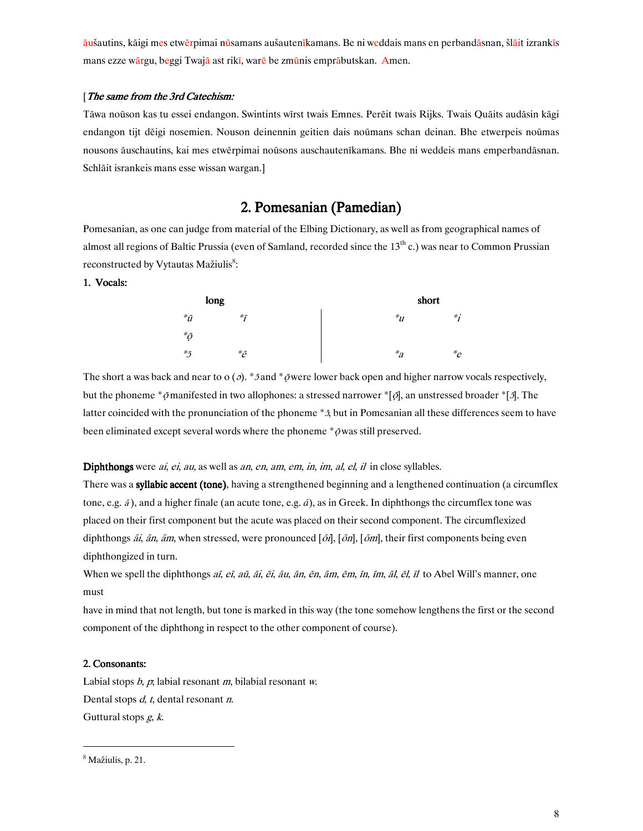<mark>āu</mark>šautins, kāigi mes etwērpimai nūsamans aušautenīkamans. Be ni weddais mans en perbandāsnan, šlāit izrankīs mans ezze w<mark>ār</mark>gu, beggi Twajā ast rikī, warē be zmūnis emprābutskan. Amen.

#### [The same from the 3rd Catechism:

Tāwa noūson kas tu essei endangon. Swintints wīrst twais Emnes. Perēit twais Rijks. Twais Quāits audāsin kāgi endangon tijt dēigi nosemien. Nouson deinennin geitien dais noūmans schan deinan. Bhe etwerpeis noūmas nousons āuschautins, kai mes etwērpimai noūsons auschautenīkamans. Bhe ni weddeis mans emperbandāsnan. Schlāit isrankeis mans esse wissan wargan.]

# 2. Pomesanian (Pamedian)

Pomesanian, as one can judge from material of the Elbing Dictionary, as well as from geographical names of almost all regions of Baltic Prussia (even of Samland, recorded since the 13<sup>th</sup> c.) was near to Common Prussian reconstructed by Vytautas Mažiulis<sup>8</sup>:

#### 1. Vocals:

|                           | long |                 | short   |        |
|---------------------------|------|-----------------|---------|--------|
| ${}^*\tilde{u}$           |      | $*$ ,           | ${}^*u$ | $*$ .  |
| ${}^*\!\bar{\mathcal{O}}$ |      |                 |         |        |
| ${}^*{\!}5$               |      | ${}^*\!\bar{e}$ | $a^*a$  | $e^*e$ |

The short a was back and near to  $\alpha$  ( $\partial$ ). \* 5 and \*  $\bar{\rho}$  were lower back open and higher narrow vocals respectively, but the phoneme \*  $\tilde{\rho}$ manifested in two allophones: a stressed narrower \* [ $\tilde{\rho}$ ], an unstressed broader \* [ $\tilde{\rho}$ ]. The latter coincided with the pronunciation of the phoneme \*5, but in Pomesanian all these differences seem to have been eliminated except several words where the phoneme  $*\bar{\rho}$  was still preserved.

Diphthongs were *ai, ei, au,* as well as *an, en, am, em, in, im, al, el, il* in close syllables.

There was a **syllabic accent (tone)**, having a strengthened beginning and a lengthened continuation (a circumflex tone, e.g.  $\tilde{a}$ ), and a higher finale (an acute tone, e.g.  $\tilde{a}$ ), as in Greek. In diphthongs the circumflex tone was placed on their first component but the acute was placed on their second component. The circumflexized diphthongs *ãi, ãn, ãm*, when stressed, were pronounced [ $\delta$ *i*], [ $\delta$ *n*], [ $\delta$ *m*], their first components being even diphthongized in turn.

When we spell the diphthongs *aī, eī, aū, āi, ēi, āu, ān, ēn, ām, ēm, īn, īm, āl, ēl, īl* to Abel Will's manner, one must

have in mind that not length, but tone is marked in this way (the tone somehow lengthens the first or the second component of the diphthong in respect to the other component of course).

#### 2. Consonants:

Labial stops  $b, p$ , labial resonant m, bilabial resonant w. Dental stops  $d$ ,  $t$ , dental resonant  $n$ . Guttural stops  $g, k$ .

 $\overline{a}$ 

<sup>&</sup>lt;sup>8</sup> Mažiulis, p. 21.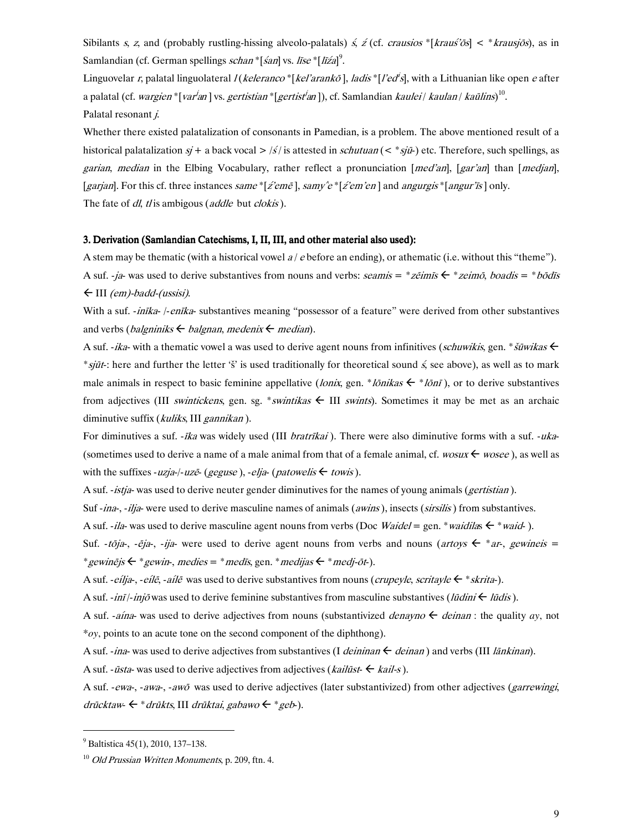Sibilants s, z, and (probably rustling-hissing alveolo-palatals)  $\zeta$ ,  $\zeta$  (cf. *crausios* \* [*krausios*] < \* *krausios*), as in Samlandian (cf. German spellings *schan* \* [*śan*] vs. *lise* \* [*liźa*]<sup>9</sup>.

Linguovelar r, palatal linguolateral  $I(keleranco*[kel'arankō], ladis*[I'ed's], with a Lithuanian like open e after$ a palatal (cf. wargien \* [var'an] vs. gertistian \* [gertist'an]), cf. Samlandian kaulei | kaulan | kaūlins)<sup>10</sup>. Palatal resonant j.

Whether there existed palatalization of consonants in Pamedian, is a problem. The above mentioned result of a historical palatalization  $sj + a$  back vocal  $> /s/$  is attested in *schutuan* (< \* sjū-) etc. Therefore, such spellings, as garian, median in the Elbing Vocabulary, rather reflect a pronunciation [med'an], [gar'an] than [medjan], [garjan]. For this cf. three instances same \* [z'eme], samy'e \* [z'em'en] and angurgis \* [angur'is] only. The fate of dl, tl is ambigous (addle but clokis).

#### 3. Derivation (Samlandian Catechisms, I, II, III, and other material also used):

A stem may be thematic (with a historical vowel  $a / e$  before an ending), or athematic (i.e. without this "theme"). A suf. -ja- was used to derive substantives from nouns and verbs: seamis = \*zeimis  $\xi$  \* zeimo, boadis = \*bodis  $\leftarrow$  III (em)-badd-(ussisi).

With a suf. -inika-/-enika- substantives meaning "possessor of a feature" were derived from other substantives and verbs (*balgniniks*  $\leftarrow$  *balgnan*, *medenix*  $\leftarrow$  *median*).

A suf. -ika- with a thematic vowel a was used to derive agent nouns from infinitives (schuwikis, gen. \*  $\zeta$  suwikas  $\zeta$ \*sjūt: here and further the letter 's' is used traditionally for theoretical sound  $\zeta$  see above), as well as to mark male animals in respect to basic feminine appellative (*lonix*, gen. \**lonikas*  $\leftarrow$  \**loni*), or to derive substantives from adjectives (III swintickens, gen. sg. \*swintikas  $\leftarrow$  III swints). Sometimes it may be met as an archaic diminutive suffix (kuliks, III gannikan).

For diminutives a suf. *-ika* was widely used (III *bratrikai*). There were also diminutive forms with a suf. *-uka-*(sometimes used to derive a name of a male animal from that of a female animal, cf. wosus  $\leftarrow$  wosee), as well as with the suffixes -uzja-/-uze (geguse), -elja-(patowelis  $\leftarrow$  towis).

A suf. -istja- was used to derive neuter gender diminutives for the names of young animals (*gertistian*).

Suf -ina-, -ilja- were used to derive masculine names of animals (awins), insects (sirsilis) from substantives.

A suf. -ila- was used to derive masculine agent nouns from verbs (Doc Waidel = gen. \* waidilas  $\epsilon$  \* waid-).

Suf. -*tõja*-, -*ēja*-, -*ija*- were used to derive agent nouns from verbs and nouns (*artoys*  $\leftarrow$  \**ar-, gewineis* = \* gewinejs  $\leftarrow$  \* gewin-, medies = \* medis, gen. \* medijas  $\leftarrow$  \* medi-ot-).

A suf. -*eilja-*, -*eilė*, -*ailė* was used to derive substantives from nouns (*crupeyle, scritayle*  $\leftarrow$  \**skrita*-).

A suf.  $\cdot$ *inī*/ $\cdot$ *injō* was used to derive feminine substantives from masculine substantives (*lūdini*  $\leftarrow$  *lūdis*).

A suf. -*aína*- was used to derive adjectives from nouns (substantivized *denayno*  $\leftarrow$  *deinan*: the quality *ay*, not  $*oy$ , points to an acute tone on the second component of the diphthong).

A suf. -ina- was used to derive adjectives from substantives (I deininan  $\leftarrow$  deinan) and verbs (III länkinan).

A suf. - *ūsta*- was used to derive adjectives from adjectives (*kailūst*-  $\leftarrow$  *kail-s*).

A suf. -ewa-, -awa-, -awō was used to derive adjectives (later substantivized) from other adjectives (garrewingi, drūcktaw  $\leftarrow$  \* drūkts, III drūktai, gabawo  $\leftarrow$  \* geb.).

 $^{9}$  Baltistica 45(1), 2010, 137–138.

 $10$  Old Prussian Written Monuments, p. 209, ftn. 4.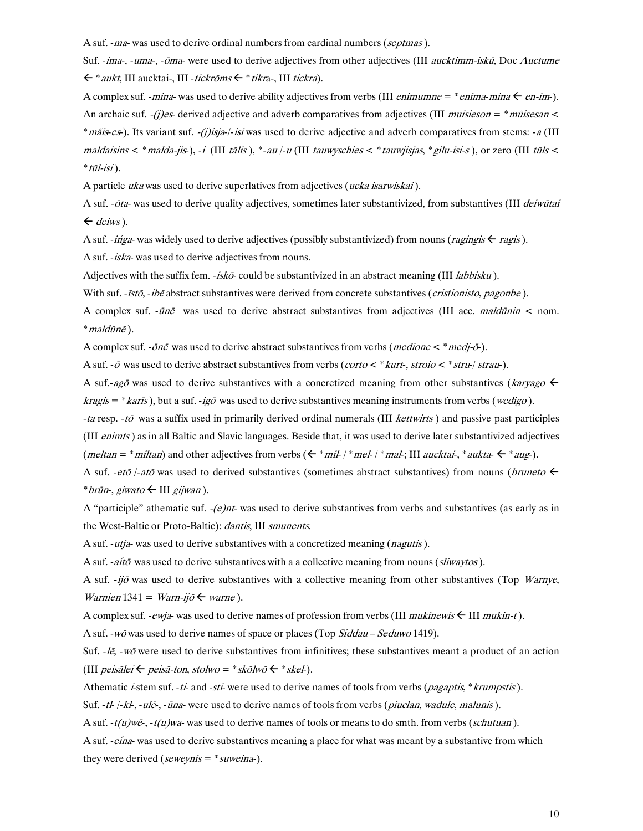A suf. - ma- was used to derive ordinal numbers from cardinal numbers (septmas).

Suf. -ima-, -uma-, -ōma- were used to derive adjectives from other adjectives (III aucktimm-iskū, Doc Auctume  $\leftarrow^*$  aukt, III aucktai-, III - tickrōms  $\leftarrow^*$  tikra-, III tickra).

A complex suf. - mina- was used to derive ability adjectives from verbs (III *enimumne* = \* *enima-mina*  $\leftarrow$  *en-im*-). An archaic suf. -(i)es-derived adjective and adverb comparatives from adjectives (III muisieson =  $*$  muisiesan < \**mais-es*). Its variant suf. -*(j)isja-/-isi* was used to derive adjective and adverb comparatives from stems: -*a* (III) maldaisins < \* malda-jis-), -i (III tālis), \*-au /-u (III tauwyschies < \* tauwjisjas, \* gilu-isi-s), or zero (III tūls <  $*$  tūl-isi).

A particle ukawas used to derive superlatives from adjectives (ucka isarwiskai).

A suf. - ota- was used to derive quality adjectives, sometimes later substantivized, from substantives (III deiwūtai  $\leftarrow$  deiws).

A suf. -inga- was widely used to derive adjectives (possibly substantivized) from nouns (ragingis  $\epsilon$  ragis).

A suf. -iska- was used to derive adjectives from nouns.

Adjectives with the suffix fem.  $-i s k \bar{\sigma}$  could be substantivized in an abstract meaning (III *labbisku*).

With suf. -istō, -ibē abstract substantives were derived from concrete substantives (cristionisto, pagonbe).

A complex suf.  $-i\bar{n}\bar{e}$  was used to derive abstract substantives from adjectives (III acc. *maldūnin* < nom. \* maldūnē).

A complex suf. - $\delta n \tilde{e}$  was used to derive abstract substantives from verbs (*medione* < \* *medi*- $\tilde{\sigma}$ ).

A suf. - $\bar{o}$  was used to derive abstract substantives from verbs (corto < \* kurt-, stroio < \* stru-/ strau-).

A suf.-ago was used to derive substantives with a concretized meaning from other substantives (karyago  $\leftarrow$  $kragis = *karis$ , but a suf. -igo was used to derive substantives meaning instruments from verbs (*wedigo*).

-ta resp. -tō was a suffix used in primarily derived ordinal numerals (III kettwirts) and passive past participles (III enimts) as in all Baltic and Slavic languages. Beside that, it was used to derive later substantivized adjectives (*meltan* = \**miltan*) and other adjectives from verbs ( $\epsilon$ \**mil*-/\**mel*-/\**mal*-; III *aucktai*-,\**aukta*- $\epsilon$ \**aug*-).

A suf. *-etō* /-atō was used to derived substantives (sometimes abstract substantives) from nouns (bruneto  $\leftarrow$ \* brūn-, giwato ← III gijwan).

A "participle" athematic suf.  $-(e)$ nt-was used to derive substantives from verbs and substantives (as early as in the West-Baltic or Proto-Baltic): *dantis*, III smunents.

A suf. *-utia-* was used to derive substantives with a concretized meaning (*nagutis*).

A suf. -*aítō* was used to derive substantives with a a collective meaning from nouns (*sliwaytos*).

A suf. -ijō was used to derive substantives with a collective meaning from other substantives (Top Warnye, Warnien 1341 = Warn-ijō  $\leftarrow$  warne).

A complex suf. - *ewia*- was used to derive names of profession from verbs (III *mukinewis*  $\leftarrow$  III *mukin-t*).

A suf. - wō was used to derive names of space or places (Top Siddau - Seduwo 1419).

Suf.  $-l\bar{e}$ ,  $-w\bar{o}$  were used to derive substantives from infinitives; these substantives meant a product of an action (III peisālei ← peisā-ton, stolwo = \* skōlwō ← \* skel-).

Athematic *i*-stem suf. -*ti*- and -*sti*- were used to derive names of tools from verbs (*pagaptis*, *\*krumpstis*).

Suf. -tl-/-kl-, -ulē-, -ūna- were used to derive names of tools from verbs (piuclan, wadule, malunis).

A suf.  $-t(u)w\tilde{e}$ ,  $-t(u)wa$ - was used to derive names of tools or means to do smth. from verbs (schutuan).

A suf. -*eina*- was used to derive substantives meaning a place for what was meant by a substantive from which they were derived (*seweynis* =  $*$  *suweina*).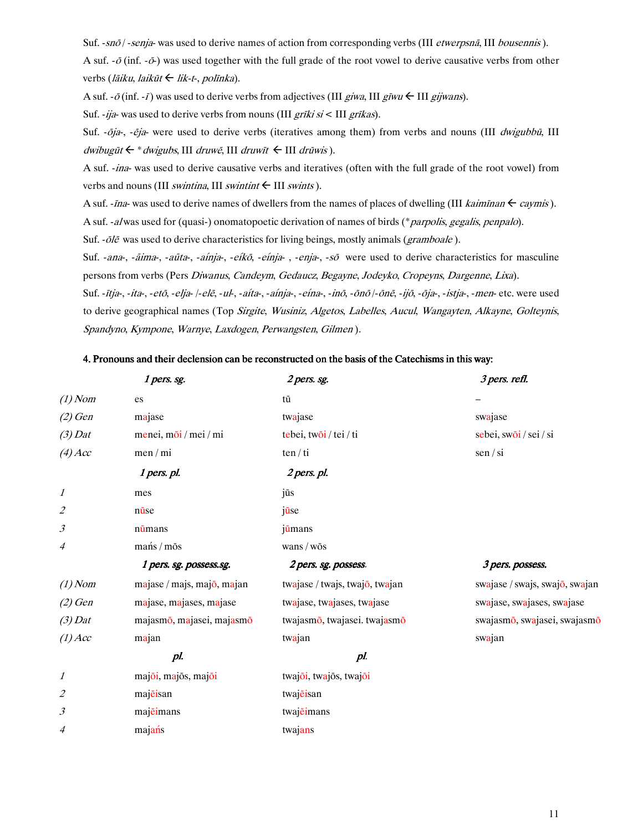Suf. - snō / - senja- was used to derive names of action from corresponding verbs (III etwerpsnā, III bousennis).

A suf.  $-\bar{\sigma}$  (inf.  $-\bar{\sigma}$ ) was used together with the full grade of the root vowel to derive causative verbs from other verbs (*lāiku, laikūt ← lik-t-, polīnka*).

A suf.  $-\bar{\sigma}$  (inf.  $-\bar{t}$ ) was used to derive verbs from adjectives (III giwa, III giwa  $\leftarrow$  III gijwans).

Suf. -ija- was used to derive verbs from nouns (III *grīki si* < III *grīkas*).

Suf. -ōja-, -ēja- were used to derive verbs (iteratives among them) from verbs and nouns (III dwigubbū, III dwibugūt ← \* dwigubs, III druwē, III druwīt ← III drūwis).

A suf. -ina- was used to derive causative verbs and iteratives (often with the full grade of the root vowel) from verbs and nouns (III *swintina*, III *swintint*  $\leftarrow$  III *swints*).

A suf. - *ina*- was used to derive names of dwellers from the names of places of dwelling (III *kaimīnan*  $\leftarrow$  *caymis*). A suf. -alwas used for (quasi-) onomatopoetic derivation of names of birds (\**parpolis, gegalis, penpalo*).

Suf. -  $\bar{O}l\bar{e}$  was used to derive characteristics for living beings, mostly animals (gramboale).

Suf. -ana-, -ãima-, -aū́ta-, -aínja-, -eíkō, -eínja-, -enja-, -sō were used to derive characteristics for masculine persons from verbs (Pers *Diwanus, Candeym, Gedaucz, Begayne, Jodeyko, Cropeyns, Dargenne, Lixa*).

Suf. -*ītja-, -ita-, -etō, -elja- |-elē, -ul-, -aíta-, -aínja-, -eína-, -inō, -ōnō* /*-ōnē, -ijō, -ōja-, -istja-, -men-* etc. were used to derive geographical names (Top Sirgite, Wusiniz, Algetos, Labelles, Aucul, Wangayten, Alkayne, Golteynis, Spandyno, Kympone, Warnye, Laxdogen, Perwangsten, Gilmen).

#### 4. Pronouns and their declension can be reconstructed on the basis of the Catechisms in this way:

|           | 1 pers. sg.                | 2 pers. sg.                                            | 3 pers. refl.                  |
|-----------|----------------------------|--------------------------------------------------------|--------------------------------|
| $(1)$ Nom | es                         | $\ensuremath{\mathsf{t}}\bar{\ensuremath{\mathsf{u}}}$ |                                |
| $(2)$ Gen | majase                     | twajase                                                | swajase                        |
| $(3)$ Dat | menei, mōi / mei / mi      | tebei, twōi / tei / ti                                 | sebei, swōi / sei / si         |
| $(4)$ Acc | $men$ / mi                 | ten/ti                                                 | sen / si                       |
|           | 1 pers. pl.                | 2 pers. pl.                                            |                                |
| 1         | mes                        | jūs                                                    |                                |
| 2         | nūse                       | jūse                                                   |                                |
| 3         | nūmans                     | jūmans                                                 |                                |
| 4         | mańs / mōs                 | wans / wōs                                             |                                |
|           | 1 pers. sg. possess.sg.    | 2 pers. sg. possess.                                   | 3 pers. possess.               |
| $(1)$ Nom | majase / majs, majo, majan | twajase / twajs, twajo, twajan                         | swajase / swajs, swajo, swajan |
| $(2)$ Gen | majase, majases, majase    | twajase, twajases, twajase                             | swajase, swajases, swajase     |
| $(3)$ Dat | majasmō, majasei, majasmō  | twajasmō, twajasei. twajasmō                           | swajasmō, swajasei, swajasmō   |
| $(1)$ Acc | majan                      | twajan                                                 | swajan                         |
|           | pl.                        | pl.                                                    |                                |
| 1         | majoi, majos, majoi        | twajoi, twajos, twajoi                                 |                                |
| 2         | majeisan                   | twajeisan                                              |                                |
| 3         | majeimans                  | twajeimans                                             |                                |
| 4         | majańs                     | twajans                                                |                                |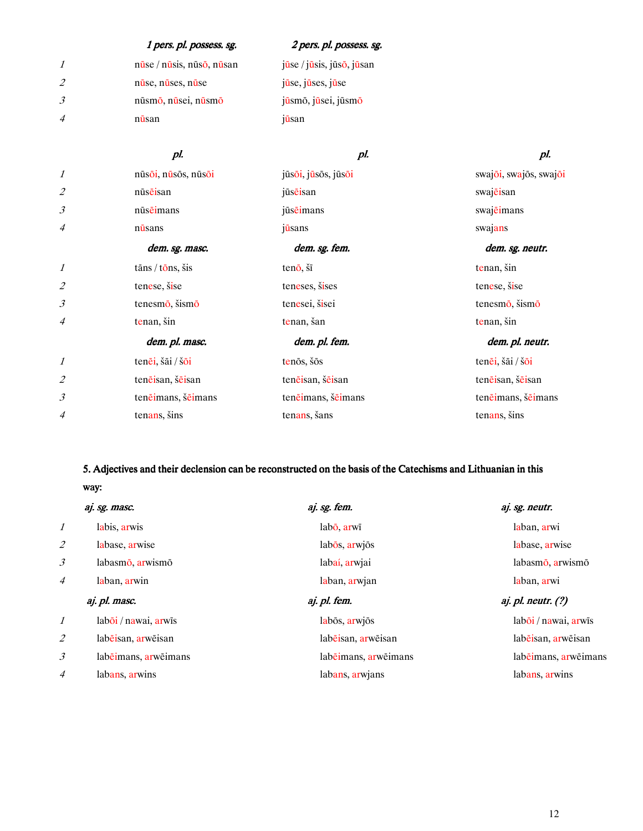|                | 1 pers. pl. possess. sg.                    | 2 pers. pl. possess. sg.                     |
|----------------|---------------------------------------------|----------------------------------------------|
| $\mathcal{I}$  | $n\bar{u}$ se / $n\bar{u}$ sis, nūso, nūsan | jūse / jūsis, jūs $\bar{o}$ , jūsan          |
| 2              | nuse, nuses, nuse                           | $j\bar{u}$ se, $j\bar{u}$ ses, $j\bar{u}$ se |
| 3              | nūsmo, nūsei, nūsmo                         | jūsmō, jūsei, jūsmō                          |
| $\overline{4}$ | nusan                                       | jūsan                                        |
|                |                                             |                                              |

|                             | pl.                                | pl.                 | pl.                    |
|-----------------------------|------------------------------------|---------------------|------------------------|
| $\mathcal{I}$               | nūsoi, nūsos, nūsoi                | jūsoi, jūsos, jūsoi | swajoi, swajos, swajoi |
| $\mathcal{Z}_{\mathcal{Z}}$ | nūsēisan                           | jūsēisan            | swajeisan              |
| $\mathfrak{Z}$              | nūsēimans                          | jūsēimans           | swajeimans             |
| 4                           | nūsans                             | jūsans              | swajans                |
|                             | dem. sg. masc.                     | dem. sg. fem.       | dem. sg. neutr.        |
| $\mathcal{I}$               | $t\bar{a}$ ns / $t\bar{o}$ ns, šis | tenō, šī            | tenan, šin             |
| $\overline{2}$              | tenese, šise                       | teneses, šises      | tenese, šise           |
| $\mathfrak{Z}$              | tenesmō, šismō                     | tenesei, šisei      | tenesmō, šismō         |
| 4                           | tenan, šin                         | tenan, šan          | tenan, šin             |
|                             | dem. pl. masc.                     | dem. pl. fem.       | dem. pl. neutr.        |
| 1                           | tenēi, šāi / šōi                   | tenōs, šōs          | tenēi, šāi / šōi       |
| 2                           | tenējsan, šējsan                   | tenējsan, šējsan    | tenējsan, šējsan       |
| $\mathfrak{Z}$              | tenējmans, šējmans                 | tenējmans, šējmans  | tenējmans, šējmans     |
| $\overline{4}$              | tenans, šins                       | tenans, šans        | tenans, šins           |

# 5. Adjectives and their declension can be reconstructed on the basis of the Catechisms and Lithuanian in this way:

|                          | aj. sg. masc.                   | aj. sg. fem.         | aj. sg. neutr.                   |
|--------------------------|---------------------------------|----------------------|----------------------------------|
| 1                        | labis, arwis                    | labō, arwī           | laban, arwi                      |
| $\overline{\mathcal{Z}}$ | labase, arwise                  | labos, arwjos        | labase, arwise                   |
| 3                        | labasmo, arwismo                | labaí, arwjai        | labasmo, arwismo                 |
| 4                        | laban, arwin                    | laban, arwjan        | laban, arwi                      |
|                          | aj. pl. masc.                   | aj. pl. fem.         | aj. pl. neutr. $(?)$             |
| 1                        | $lab\overline{o}i/nawai, arwīs$ | labos, arwjos        | $lab\overline{o}i/nawai$ , arwis |
| 2                        | labeisan, arweisan              | labeisan, arweisan   | labeisan, arweisan               |
|                          |                                 |                      |                                  |
| 3                        | labeimans, arweimans            | labēimans, arwēimans | labeimans, arweimans             |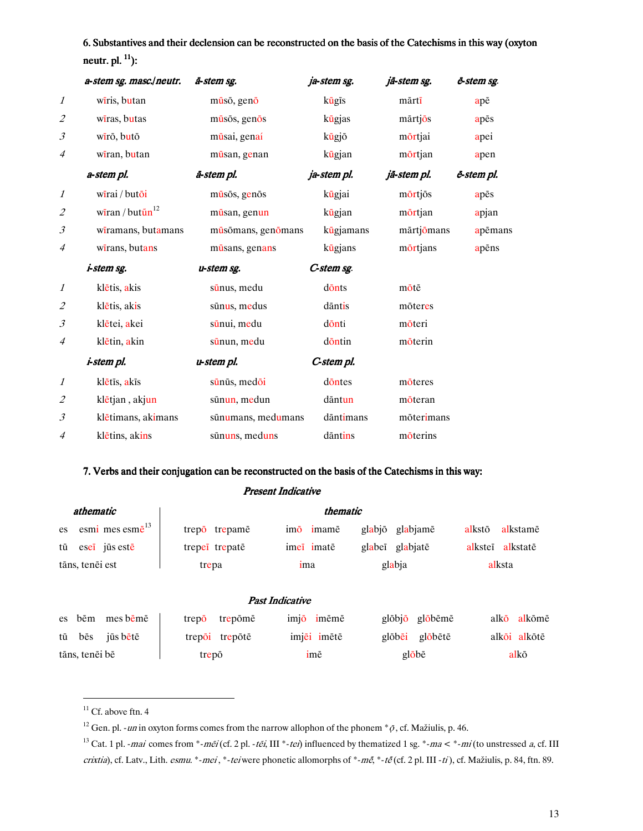6. Substantives and their declension can be reconstructed on the basis of the Catechisms in this way (oxyton neutr. pl. <sup>11</sup>):

|                             | a-stem sg. masc./neutr.                 | ā-stem sg.         | ja-stem sg. | jā-stem sg. | ē-stem sg. |
|-----------------------------|-----------------------------------------|--------------------|-------------|-------------|------------|
| $\mathcal{I}$               | wiris, butan                            | mūsō, genō         | kūgīs       | mārtī       | apē        |
| $\mathcal{Z}_{\mathcal{Z}}$ | wiras, butas                            | mūsōs, genōs       | kūgjas      | mārtjōs     | apēs       |
| $\mathfrak{Z}$              | wīrō, butō                              | mūsai, genaí       | kūgjō       | mörtjai     | apei       |
| $\overline{4}$              | wiran, butan                            | mūsan, genan       | kūgjan      | mörtjan     | apen       |
|                             | a-stem pl.                              | ā-stem pl.         | ja-stem pl. | jā-stem pl. | ē-stem pl. |
| $\boldsymbol{\mathit{1}}$   | wīrai / butōi                           | mūsōs, genōs       | kūgjai      | mortjos     | apēs       |
| $\mathcal{L}_{\mathcal{L}}$ | wiran / but $\tilde{u}$ n <sup>12</sup> | mūsan, genun       | kūgjan      | mörtjan     | apjan      |
| $\mathfrak{Z}$              | wiramans, butamans                      | mūsōmans, genōmans | kūgjamans   | mārtjōmans  | apēmans    |
| $\overline{4}$              | wirans, butans                          | mūsans, genans     | kūgjans     | mortjans    | apēns      |
|                             | <i>i-stem sg.</i>                       | u-stem sg.         | C-stem sg.  |             |            |
| $\mathcal{I}$               | klētis, akis                            | sūnus, medu        | donts       | mōtē        |            |
| $\mathcal{Z}_{\mathcal{Z}}$ | klētis, akis                            | sūnus, medus       | dāntis      | mōteres     |            |
| $\mathfrak{Z}$              | klētei, akei                            | sūnui, medu        | dönti       | möteri      |            |
| $\overline{4}$              | klētin, akin                            | sūnun, medu        | dōntin      | mōterin     |            |
|                             | <i>i-stem pl.</i>                       | u-stem pl.         | C-stem pl.  |             |            |
| $\mathcal{I}$               | klētīs, akīs                            | sūnūs, medōi       | dontes      | moteres     |            |
| $\mathcal{Z}_{\mathcal{Z}}$ | klētjan, akjun                          | sūnun, medun       | dāntun      | moteran     |            |
| $\mathfrak{Z}$              | klētimans, akimans                      | sūnumans, medumans | dāntimans   | mōterimans  |            |
| $\overline{4}$              | klētins, akins                          | sūnuns, meduns     | dāntins     | moterins    |            |

#### 7. Verbs and their conjugation can be reconstructed on the basis of the Catechisms in this way:

#### Present Indicative

| <i>athematic</i>       |        | thematic                    |       |                |     |             |                 |        |          |                  |      |              |
|------------------------|--------|-----------------------------|-------|----------------|-----|-------------|-----------------|--------|----------|------------------|------|--------------|
| es                     |        | esmi mes esm $\bar{e}^{13}$ |       | trepo trepame  | imō | imamē       | glabjō          |        | glabjamē | alkstō           |      | alkstamē     |
|                        |        | tū esei jūs estē            |       | trepei trepate |     | imei imatē  | glabei glabjatē |        |          | alkstej alkstatē |      |              |
| tāns, tenēi est        |        | trepa                       |       |                | ima |             | glabja          |        | alksta   |                  |      |              |
|                        |        |                             |       |                |     |             |                 |        |          |                  |      |              |
| <b>Past Indicative</b> |        |                             |       |                |     |             |                 |        |          |                  |      |              |
|                        | es bēm | mes bēmē                    | trepo | trepōmē        |     | imjō imēmē  |                 | glōbjō | globēmē  |                  | alkō | alkōmē       |
|                        | tū bēs | jūs bētē                    |       | trepoi trepote |     | imjēi imētē |                 | glōbēi | globētē  |                  |      | alkōi alkōtē |
| tāns, tenēi bē         |        |                             | trepō |                |     | imē         |                 | globē  |          | alkō             |      |              |

 $\overline{a}$ 

 $11$  Cf. above ftn. 4

<sup>&</sup>lt;sup>12</sup> Gen. pl. - *un* in oxyton forms comes from the narrow allophon of the phonem  $*$   $\bar{\rho}$ , cf. Mažiulis, p. 46.

<sup>&</sup>lt;sup>13</sup> Cat. 1 pl. - mai comes from \*-mēi (cf. 2 pl. -tēi, III \*-tei) influenced by thematized 1 sg. \*-ma < \*-mi (to unstressed a, cf. III crixtia), cf. Latv., Lith. esmu. \*-mei, \*-teiwere phonetic allomorphs of \*-mē, \*-tē (cf. 2 pl. III -ti), cf. Mažiulis, p. 84, ftn. 89.